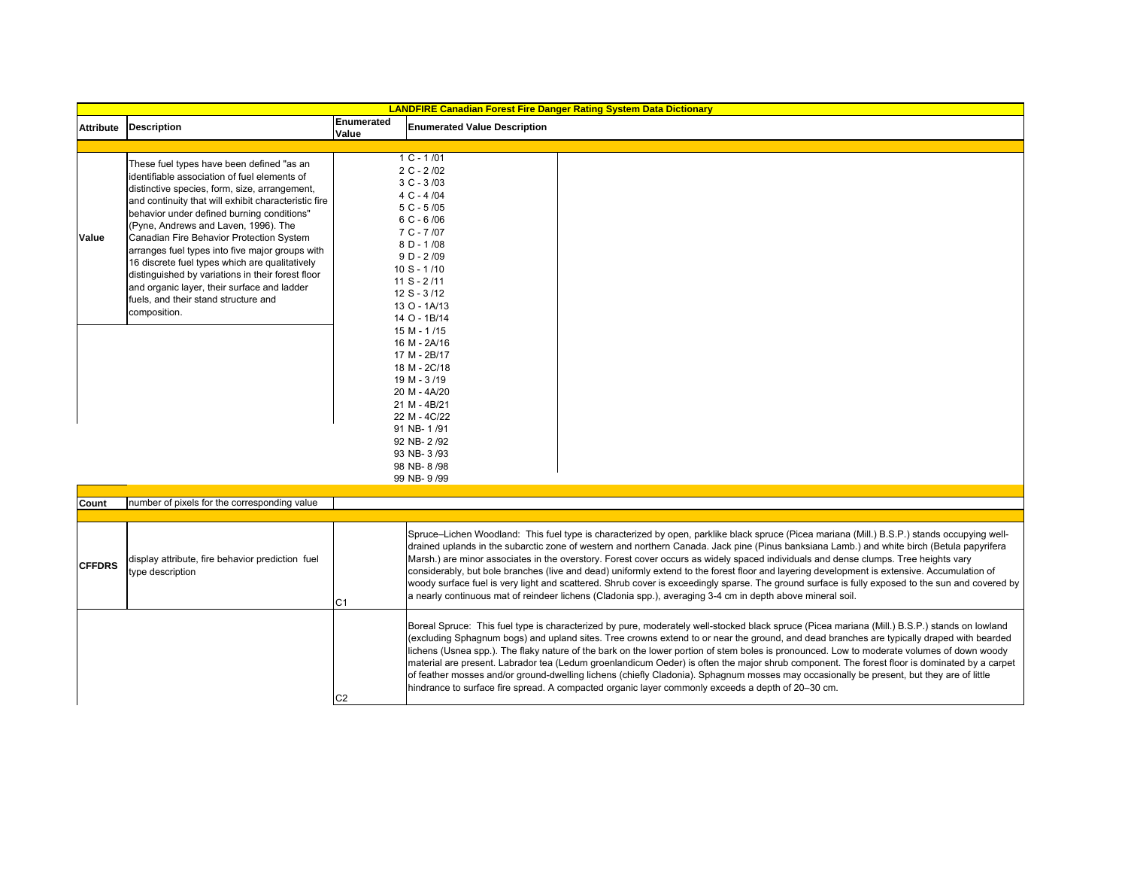|                  | <b>LANDFIRE Canadian Forest Fire Danger Rating System Data Dictionary</b>                                                                                                                                                                                                                                                                                                                                                                                                                                                                                                                             |                     |                                                                                                                                                                                                                                                                                                                                                                                                                                                                                                                                                                                                                                                                                                                                                                                                                                                    |  |  |  |  |  |
|------------------|-------------------------------------------------------------------------------------------------------------------------------------------------------------------------------------------------------------------------------------------------------------------------------------------------------------------------------------------------------------------------------------------------------------------------------------------------------------------------------------------------------------------------------------------------------------------------------------------------------|---------------------|----------------------------------------------------------------------------------------------------------------------------------------------------------------------------------------------------------------------------------------------------------------------------------------------------------------------------------------------------------------------------------------------------------------------------------------------------------------------------------------------------------------------------------------------------------------------------------------------------------------------------------------------------------------------------------------------------------------------------------------------------------------------------------------------------------------------------------------------------|--|--|--|--|--|
| <b>Attribute</b> | <b>Description</b>                                                                                                                                                                                                                                                                                                                                                                                                                                                                                                                                                                                    | Enumerated<br>Value | <b>Enumerated Value Description</b>                                                                                                                                                                                                                                                                                                                                                                                                                                                                                                                                                                                                                                                                                                                                                                                                                |  |  |  |  |  |
|                  |                                                                                                                                                                                                                                                                                                                                                                                                                                                                                                                                                                                                       |                     |                                                                                                                                                                                                                                                                                                                                                                                                                                                                                                                                                                                                                                                                                                                                                                                                                                                    |  |  |  |  |  |
| Value            | These fuel types have been defined "as an<br>identifiable association of fuel elements of<br>distinctive species, form, size, arrangement,<br>and continuity that will exhibit characteristic fire<br>behavior under defined burning conditions"<br>(Pyne, Andrews and Laven, 1996). The<br>Canadian Fire Behavior Protection System<br>arranges fuel types into five major groups with<br>16 discrete fuel types which are qualitatively<br>distinguished by variations in their forest floor<br>and organic layer, their surface and ladder<br>fuels, and their stand structure and<br>composition. |                     | $1 C - 1/01$<br>$2 C - 2/02$<br>$3 C - 3 / 03$<br>4 C - 4/04<br>$5 C - 5/05$<br>$6C - 6/06$<br>$7C - 7/07$<br>$8D - 1/08$<br>$9 D - 2/09$<br>$10 S - 1/10$<br>$11 S - 2/11$<br>12 S - 3/12<br>13 O - 1A/13<br>14 O - 1B/14                                                                                                                                                                                                                                                                                                                                                                                                                                                                                                                                                                                                                         |  |  |  |  |  |
|                  |                                                                                                                                                                                                                                                                                                                                                                                                                                                                                                                                                                                                       |                     | 15 M - 1/15<br>16 M - 2A/16<br>17 M - 2B/17<br>18 M - 2C/18<br>19 M - 3/19<br>20 M - 4A/20<br>21 M - 4B/21<br>22 M - 4C/22<br>91 NB-1/91<br>92 NB-2/92<br>93 NB-3/93<br>98 NB-8/98<br>99 NB-9/99                                                                                                                                                                                                                                                                                                                                                                                                                                                                                                                                                                                                                                                   |  |  |  |  |  |
|                  |                                                                                                                                                                                                                                                                                                                                                                                                                                                                                                                                                                                                       |                     |                                                                                                                                                                                                                                                                                                                                                                                                                                                                                                                                                                                                                                                                                                                                                                                                                                                    |  |  |  |  |  |
| Count            | number of pixels for the corresponding value                                                                                                                                                                                                                                                                                                                                                                                                                                                                                                                                                          |                     |                                                                                                                                                                                                                                                                                                                                                                                                                                                                                                                                                                                                                                                                                                                                                                                                                                                    |  |  |  |  |  |
| <b>CFFDRS</b>    | display attribute, fire behavior prediction fuel<br>type description                                                                                                                                                                                                                                                                                                                                                                                                                                                                                                                                  | C1                  | Spruce-Lichen Woodland: This fuel type is characterized by open, parklike black spruce (Picea mariana (Mill.) B.S.P.) stands occupying well-<br>drained uplands in the subarctic zone of western and northern Canada. Jack pine (Pinus banksiana Lamb.) and white birch (Betula papyrifera<br>Marsh.) are minor associates in the overstory. Forest cover occurs as widely spaced individuals and dense clumps. Tree heights vary<br>considerably, but bole branches (live and dead) uniformly extend to the forest floor and layering development is extensive. Accumulation of<br>woody surface fuel is very light and scattered. Shrub cover is exceedingly sparse. The ground surface is fully exposed to the sun and covered by<br>a nearly continuous mat of reindeer lichens (Cladonia spp.), averaging 3-4 cm in depth above mineral soil. |  |  |  |  |  |
|                  |                                                                                                                                                                                                                                                                                                                                                                                                                                                                                                                                                                                                       |                     | Boreal Spruce: This fuel type is characterized by pure, moderately well-stocked black spruce (Picea mariana (Mill.) B.S.P.) stands on lowland<br>(excluding Sphagnum bogs) and upland sites. Tree crowns extend to or near the ground, and dead branches are typically draped with bearded<br>lichens (Usnea spp.). The flaky nature of the bark on the lower portion of stem boles is pronounced. Low to moderate volumes of down woody<br>material are present. Labrador tea (Ledum groenlandicum Oeder) is often the major shrub component. The forest floor is dominated by a carpet                                                                                                                                                                                                                                                           |  |  |  |  |  |

of feather mosses and/or ground-dwelling lichens (chiefly Cladonia). Sphagnum mosses may occasionally be present, but they are of little

hindrance to surface fire spread. A compacted organic layer commonly exceeds a depth of 20–30 cm.

C2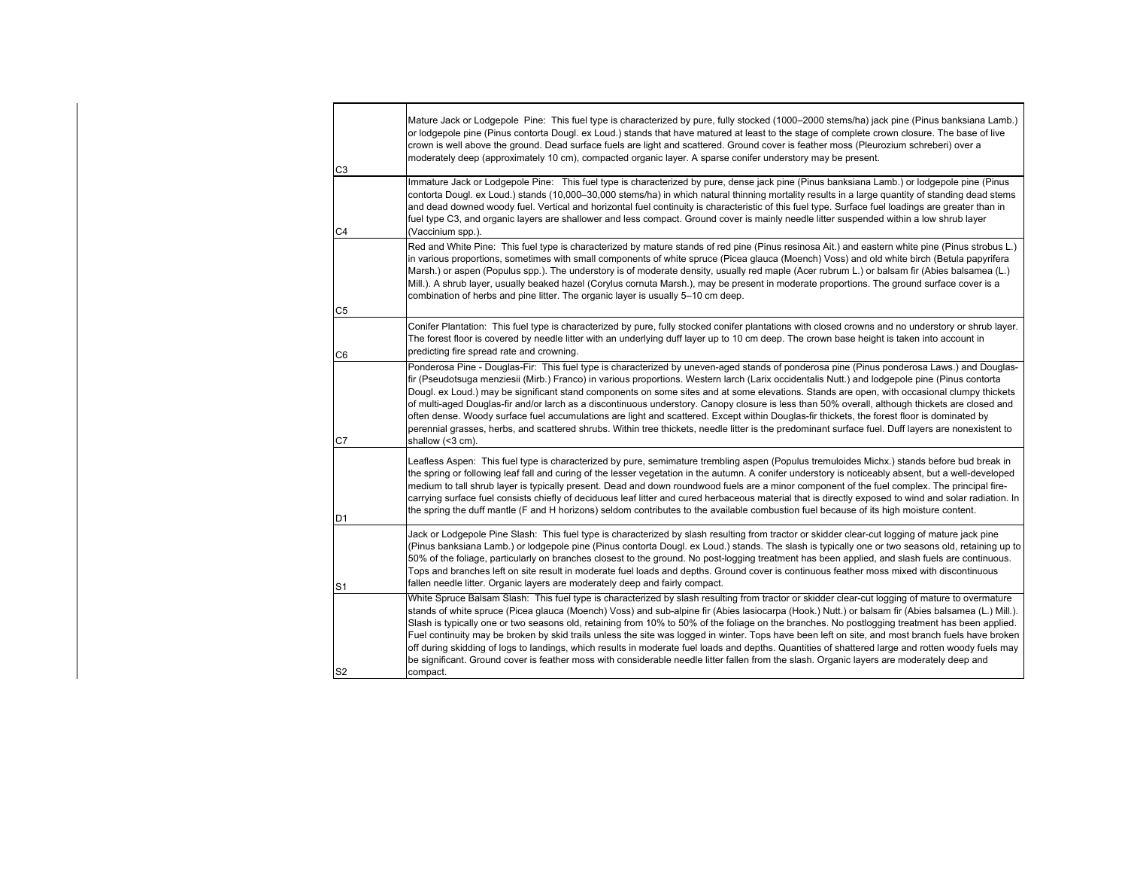| C <sub>3</sub> | Mature Jack or Lodgepole Pine: This fuel type is characterized by pure, fully stocked (1000–2000 stems/ha) jack pine (Pinus banksiana Lamb.)<br>or lodgepole pine (Pinus contorta Dougl. ex Loud.) stands that have matured at least to the stage of complete crown closure. The base of live<br>crown is well above the ground. Dead surface fuels are light and scattered. Ground cover is feather moss (Pleurozium schreberi) over a<br>moderately deep (approximately 10 cm), compacted organic layer. A sparse conifer understory may be present.                                                                                                                                                                                                                                                                                                                                                                        |
|----------------|-------------------------------------------------------------------------------------------------------------------------------------------------------------------------------------------------------------------------------------------------------------------------------------------------------------------------------------------------------------------------------------------------------------------------------------------------------------------------------------------------------------------------------------------------------------------------------------------------------------------------------------------------------------------------------------------------------------------------------------------------------------------------------------------------------------------------------------------------------------------------------------------------------------------------------|
| C <sub>4</sub> | Immature Jack or Lodgepole Pine: This fuel type is characterized by pure, dense jack pine (Pinus banksiana Lamb.) or lodgepole pine (Pinus<br>contorta Dougl. ex Loud.) stands (10,000-30,000 stems/ha) in which natural thinning mortality results in a large quantity of standing dead stems<br>and dead downed woody fuel. Vertical and horizontal fuel continuity is characteristic of this fuel type. Surface fuel loadings are greater than in<br>fuel type C3, and organic layers are shallower and less compact. Ground cover is mainly needle litter suspended within a low shrub layer<br>(Vaccinium spp.).                                                                                                                                                                                                                                                                                                         |
|                | Red and White Pine: This fuel type is characterized by mature stands of red pine (Pinus resinosa Ait.) and eastern white pine (Pinus strobus L.)<br>in various proportions, sometimes with small components of white spruce (Picea glauca (Moench) Voss) and old white birch (Betula papyrifera<br>Marsh.) or aspen (Populus spp.). The understory is of moderate density, usually red maple (Acer rubrum L.) or balsam fir (Abies balsamea (L.)<br>Mill.). A shrub layer, usually beaked hazel (Corylus cornuta Marsh.), may be present in moderate proportions. The ground surface cover is a<br>combination of herbs and pine litter. The organic layer is usually 5–10 cm deep.                                                                                                                                                                                                                                           |
| C <sub>5</sub> | Conifer Plantation: This fuel type is characterized by pure, fully stocked conifer plantations with closed crowns and no understory or shrub layer.                                                                                                                                                                                                                                                                                                                                                                                                                                                                                                                                                                                                                                                                                                                                                                           |
| C <sub>6</sub> | The forest floor is covered by needle litter with an underlying duff layer up to 10 cm deep. The crown base height is taken into account in<br>predicting fire spread rate and crowning.                                                                                                                                                                                                                                                                                                                                                                                                                                                                                                                                                                                                                                                                                                                                      |
| C7             | Ponderosa Pine - Douglas-Fir: This fuel type is characterized by uneven-aged stands of ponderosa pine (Pinus ponderosa Laws.) and Douglas-<br>fir (Pseudotsuga menziesii (Mirb.) Franco) in various proportions. Western larch (Larix occidentalis Nutt.) and lodgepole pine (Pinus contorta<br>Dougl. ex Loud.) may be significant stand components on some sites and at some elevations. Stands are open, with occasional clumpy thickets<br>of multi-aged Douglas-fir and/or larch as a discontinuous understory. Canopy closure is less than 50% overall, although thickets are closed and<br>often dense. Woody surface fuel accumulations are light and scattered. Except within Douglas-fir thickets, the forest floor is dominated by<br>perennial grasses, herbs, and scattered shrubs. Within tree thickets, needle litter is the predominant surface fuel. Duff layers are nonexistent to<br>shallow (<3 cm).      |
| D <sub>1</sub> | Leafless Aspen: This fuel type is characterized by pure, semimature trembling aspen (Populus tremuloides Michx.) stands before bud break in<br>the spring or following leaf fall and curing of the lesser vegetation in the autumn. A conifer understory is noticeably absent, but a well-developed<br>medium to tall shrub layer is typically present. Dead and down roundwood fuels are a minor component of the fuel complex. The principal fire-<br>carrying surface fuel consists chiefly of deciduous leaf litter and cured herbaceous material that is directly exposed to wind and solar radiation. In<br>the spring the duff mantle (F and H horizons) seldom contributes to the available combustion fuel because of its high moisture content.                                                                                                                                                                     |
| S <sub>1</sub> | Jack or Lodgepole Pine Slash: This fuel type is characterized by slash resulting from tractor or skidder clear-cut logging of mature jack pine<br>(Pinus banksiana Lamb.) or lodgepole pine (Pinus contorta Dougl. ex Loud.) stands. The slash is typically one or two seasons old, retaining up to<br>50% of the foliage, particularly on branches closest to the ground. No post-logging treatment has been applied, and slash fuels are continuous.<br>Tops and branches left on site result in moderate fuel loads and depths. Ground cover is continuous feather moss mixed with discontinuous<br>fallen needle litter. Organic layers are moderately deep and fairly compact.                                                                                                                                                                                                                                           |
| S <sub>2</sub> | White Spruce Balsam Slash: This fuel type is characterized by slash resulting from tractor or skidder clear-cut logging of mature to overmature<br>stands of white spruce (Picea glauca (Moench) Voss) and sub-alpine fir (Abies lasiocarpa (Hook.) Nutt.) or balsam fir (Abies balsamea (L.) Mill.).<br>Slash is typically one or two seasons old, retaining from 10% to 50% of the foliage on the branches. No postlogging treatment has been applied.<br>Fuel continuity may be broken by skid trails unless the site was logged in winter. Tops have been left on site, and most branch fuels have broken<br>off during skidding of logs to landings, which results in moderate fuel loads and depths. Quantities of shattered large and rotten woody fuels may<br>be significant. Ground cover is feather moss with considerable needle litter fallen from the slash. Organic layers are moderately deep and<br>compact. |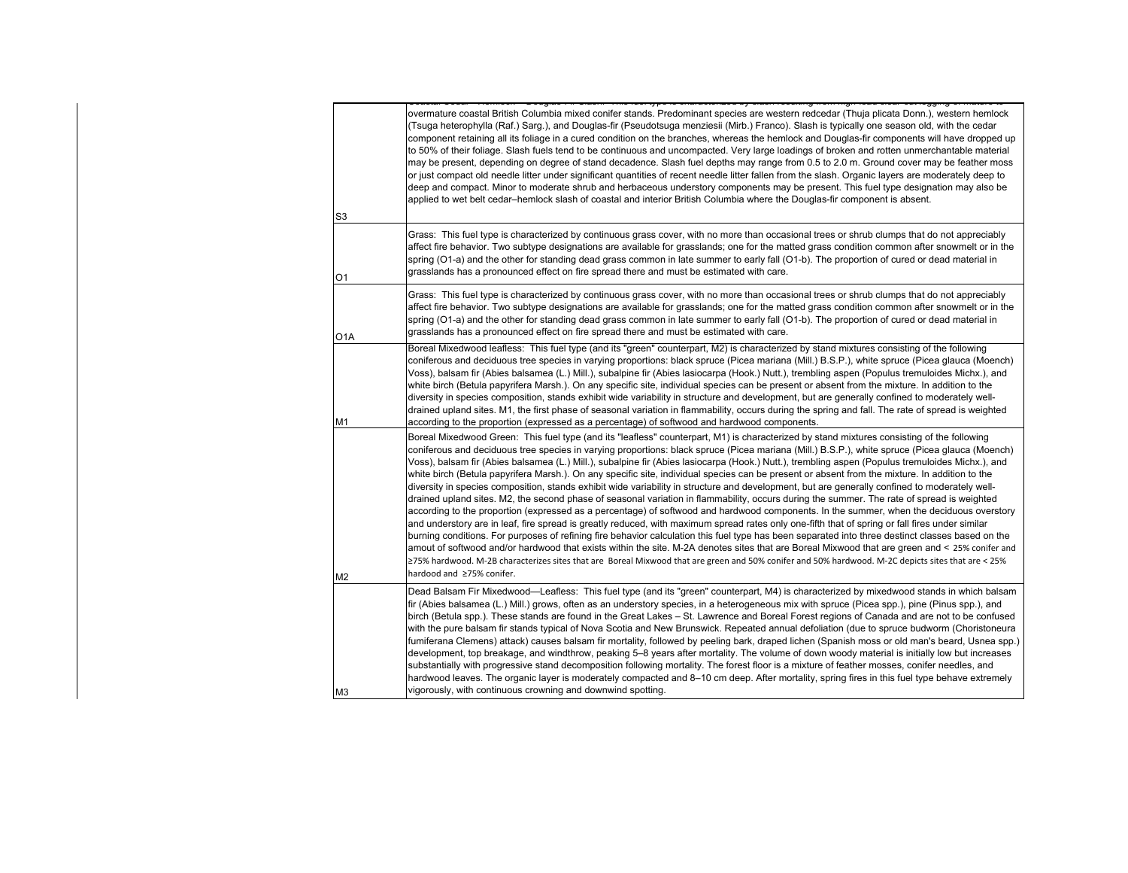|     | <u>, adding i ii ainai i iina inai chao ia ainmanaista a' ainai iadainiid iiaiii iidii iana aina. an i</u>                                                                                                                                                                                                                                                                                                                                                                                                                                                                                                                                                                                                                                                                                                                                                                                                                                                                                                                                                                                                                                                                                                                                                                                                                                                                                                                                                                                                                                                                                                                                                                                  |
|-----|---------------------------------------------------------------------------------------------------------------------------------------------------------------------------------------------------------------------------------------------------------------------------------------------------------------------------------------------------------------------------------------------------------------------------------------------------------------------------------------------------------------------------------------------------------------------------------------------------------------------------------------------------------------------------------------------------------------------------------------------------------------------------------------------------------------------------------------------------------------------------------------------------------------------------------------------------------------------------------------------------------------------------------------------------------------------------------------------------------------------------------------------------------------------------------------------------------------------------------------------------------------------------------------------------------------------------------------------------------------------------------------------------------------------------------------------------------------------------------------------------------------------------------------------------------------------------------------------------------------------------------------------------------------------------------------------|
|     | overmature coastal British Columbia mixed conifer stands. Predominant species are western redcedar (Thuja plicata Donn.), western hemlock<br>(Tsuga heterophylla (Raf.) Sarg.), and Douglas-fir (Pseudotsuga menziesii (Mirb.) Franco). Slash is typically one season old, with the cedar<br>component retaining all its foliage in a cured condition on the branches, whereas the hemlock and Douglas-fir components will have dropped up<br>to 50% of their foliage. Slash fuels tend to be continuous and uncompacted. Very large loadings of broken and rotten unmerchantable material<br>may be present, depending on degree of stand decadence. Slash fuel depths may range from 0.5 to 2.0 m. Ground cover may be feather moss<br>or just compact old needle litter under significant quantities of recent needle litter fallen from the slash. Organic layers are moderately deep to<br>deep and compact. Minor to moderate shrub and herbaceous understory components may be present. This fuel type designation may also be<br>applied to wet belt cedar-hemlock slash of coastal and interior British Columbia where the Douglas-fir component is absent.                                                                                                                                                                                                                                                                                                                                                                                                                                                                                                                        |
| S3  |                                                                                                                                                                                                                                                                                                                                                                                                                                                                                                                                                                                                                                                                                                                                                                                                                                                                                                                                                                                                                                                                                                                                                                                                                                                                                                                                                                                                                                                                                                                                                                                                                                                                                             |
| О1  | Grass: This fuel type is characterized by continuous grass cover, with no more than occasional trees or shrub clumps that do not appreciably<br>affect fire behavior. Two subtype designations are available for grasslands; one for the matted grass condition common after snowmelt or in the<br>spring (O1-a) and the other for standing dead grass common in late summer to early fall (O1-b). The proportion of cured or dead material in<br>grasslands has a pronounced effect on fire spread there and must be estimated with care.                                                                                                                                                                                                                                                                                                                                                                                                                                                                                                                                                                                                                                                                                                                                                                                                                                                                                                                                                                                                                                                                                                                                                  |
| O1A | Grass: This fuel type is characterized by continuous grass cover, with no more than occasional trees or shrub clumps that do not appreciably<br>affect fire behavior. Two subtype designations are available for grasslands; one for the matted grass condition common after snowmelt or in the<br>spring (O1-a) and the other for standing dead grass common in late summer to early fall (O1-b). The proportion of cured or dead material in<br>grasslands has a pronounced effect on fire spread there and must be estimated with care.                                                                                                                                                                                                                                                                                                                                                                                                                                                                                                                                                                                                                                                                                                                                                                                                                                                                                                                                                                                                                                                                                                                                                  |
| M1  | Boreal Mixedwood leafless: This fuel type (and its "green" counterpart, M2) is characterized by stand mixtures consisting of the following<br>coniferous and deciduous tree species in varying proportions: black spruce (Picea mariana (Mill.) B.S.P.), white spruce (Picea glauca (Moench)<br>Voss), balsam fir (Abies balsamea (L.) Mill.), subalpine fir (Abies lasiocarpa (Hook.) Nutt.), trembling aspen (Populus tremuloides Michx.), and<br>white birch (Betula papyrifera Marsh.). On any specific site, individual species can be present or absent from the mixture. In addition to the<br>diversity in species composition, stands exhibit wide variability in structure and development, but are generally confined to moderately well-<br>drained upland sites. M1, the first phase of seasonal variation in flammability, occurs during the spring and fall. The rate of spread is weighted<br>according to the proportion (expressed as a percentage) of softwood and hardwood components.                                                                                                                                                                                                                                                                                                                                                                                                                                                                                                                                                                                                                                                                                  |
| M2  | Boreal Mixedwood Green: This fuel type (and its "leafless" counterpart, M1) is characterized by stand mixtures consisting of the following<br>coniferous and deciduous tree species in varying proportions: black spruce (Picea mariana (Mill.) B.S.P.), white spruce (Picea glauca (Moench)<br>Voss), balsam fir (Abies balsamea (L.) Mill.), subalpine fir (Abies lasiocarpa (Hook.) Nutt.), trembling aspen (Populus tremuloides Michx.), and<br>white birch (Betula papyrifera Marsh.). On any specific site, individual species can be present or absent from the mixture. In addition to the<br>diversity in species composition, stands exhibit wide variability in structure and development, but are generally confined to moderately well-<br>drained upland sites. M2, the second phase of seasonal variation in flammability, occurs during the summer. The rate of spread is weighted<br>according to the proportion (expressed as a percentage) of softwood and hardwood components. In the summer, when the deciduous overstory<br>and understory are in leaf, fire spread is greatly reduced, with maximum spread rates only one-fifth that of spring or fall fires under similar<br>burning conditions. For purposes of refining fire behavior calculation this fuel type has been separated into three destinct classes based on the<br>amout of softwood and/or hardwood that exists within the site. M-2A denotes sites that are Boreal Mixwood that are green and < 25% conifer and<br>≥75% hardwood. M-2B characterizes sites that are Boreal Mixwood that are green and 50% conifer and 50% hardwood. M-2C depicts sites that are < 25%<br>hardood and ≥75% conifer. |
| MЗ  | Dead Balsam Fir Mixedwood—Leafless: This fuel type (and its "green" counterpart, M4) is characterized by mixedwood stands in which balsam<br>fir (Abies balsamea (L.) Mill.) grows, often as an understory species, in a heterogeneous mix with spruce (Picea spp.), pine (Pinus spp.), and<br>birch (Betula spp.). These stands are found in the Great Lakes – St. Lawrence and Boreal Forest regions of Canada and are not to be confused<br>with the pure balsam fir stands typical of Nova Scotia and New Brunswick. Repeated annual defoliation (due to spruce budworm (Choristoneura<br>fumiferana Clemens) attack) causes balsam fir mortality, followed by peeling bark, draped lichen (Spanish moss or old man's beard, Usnea spp.)<br>development, top breakage, and windthrow, peaking 5–8 years after mortality. The volume of down woody material is initially low but increases<br>substantially with progressive stand decomposition following mortality. The forest floor is a mixture of feather mosses, conifer needles, and<br>hardwood leaves. The organic layer is moderately compacted and 8–10 cm deep. After mortality, spring fires in this fuel type behave extremely<br>vigorously, with continuous crowning and downwind spotting.                                                                                                                                                                                                                                                                                                                                                                                                                              |